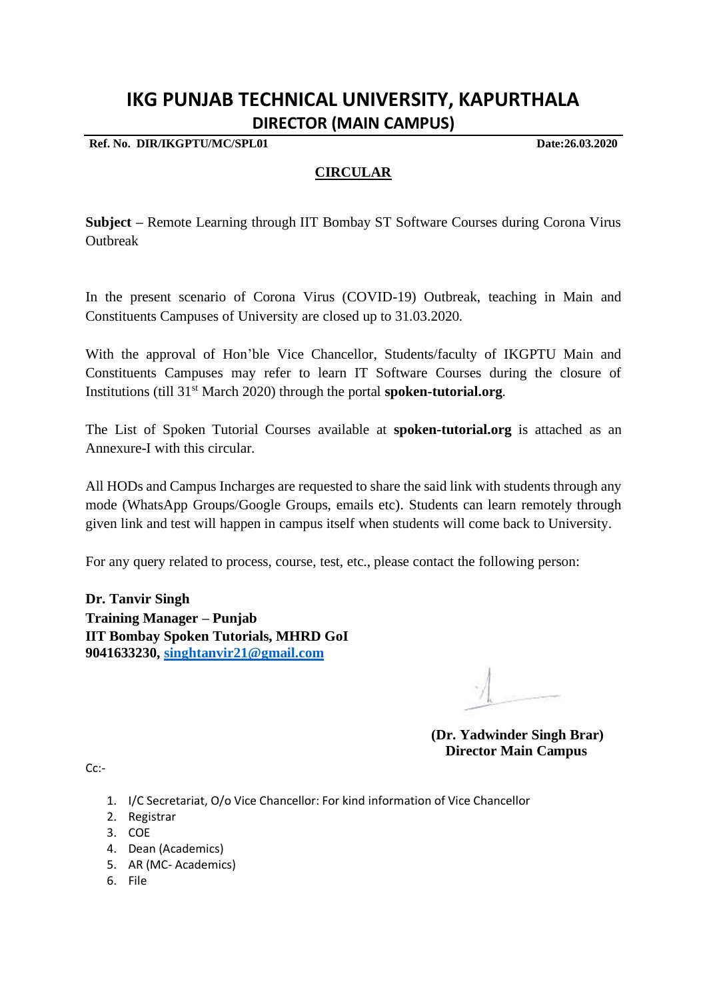## **IKG PUNJAB TECHNICAL UNIVERSITY, KAPURTHALA DIRECTOR (MAIN CAMPUS)**

**Ref. No. DIR/IKGPTU/MC/SPL01 Date:26.03.2020**

## **CIRCULAR**

**Subject –** Remote Learning through IIT Bombay ST Software Courses during Corona Virus Outbreak

In the present scenario of Corona Virus (COVID-19) Outbreak, teaching in Main and Constituents Campuses of University are closed up to 31.03.2020.

With the approval of Hon'ble Vice Chancellor, Students/faculty of IKGPTU Main and Constituents Campuses may refer to learn IT Software Courses during the closure of Institutions (till 31st March 2020) through the portal **spoken-tutorial.org**.

The List of Spoken Tutorial Courses available at **spoken-tutorial.org** is attached as an Annexure-I with this circular.

All HODs and Campus Incharges are requested to share the said link with students through any mode (WhatsApp Groups/Google Groups, emails etc). Students can learn remotely through given link and test will happen in campus itself when students will come back to University.

For any query related to process, course, test, etc., please contact the following person:

**Dr. Tanvir Singh Training Manager – Punjab IIT Bombay Spoken Tutorials, MHRD GoI 9041633230, [singhtanvir21@gmail.com](mailto:singhtanvir21@gmail.com)**

**(Dr. Yadwinder Singh Brar) Director Main Campus**

 $Cr-$ 

- 1. I/C Secretariat, O/o Vice Chancellor: For kind information of Vice Chancellor
- 2. Registrar
- 3. COE
- 4. Dean (Academics)
- 5. AR (MC- Academics)
- 6. File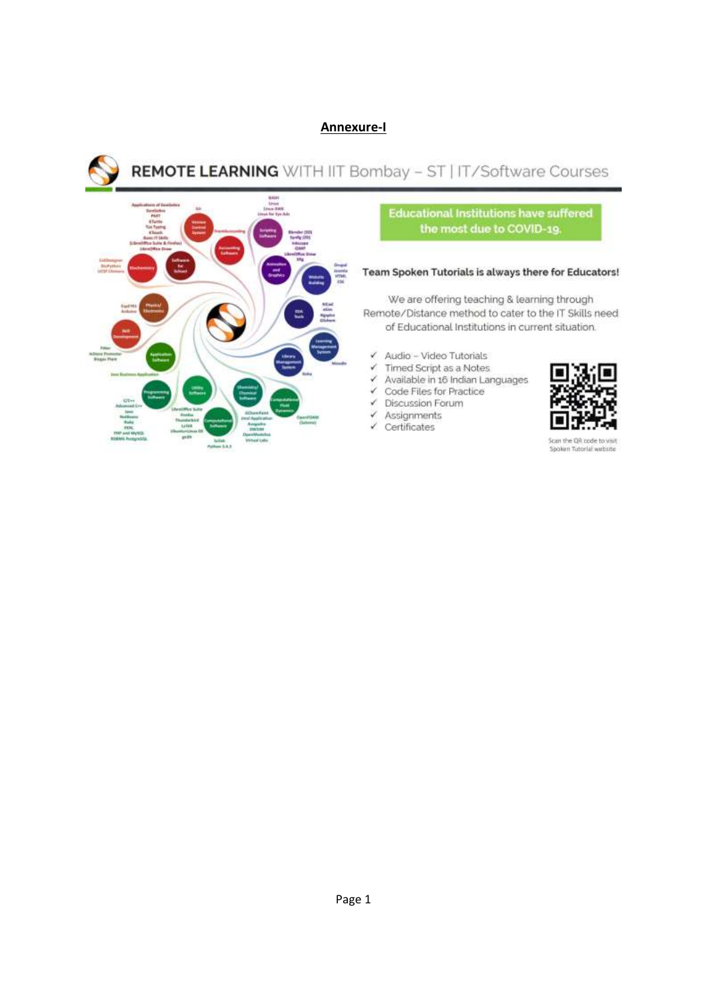## Annexure-I



REMOTE LEARNING WITH IIT Bombay - ST | IT/Software Courses



**Educational Institutions have suffered** the most due to COVID-19.

## Team Spoken Tutorials is always there for Educators!

We are offering teaching & learning through Remote/Distance method to cater to the IT Skills need of Educational Institutions in current situation.

- $\checkmark$  Audio Video Tutorials
- Timed Script as a Notes ¥.
- Available in 16 Indian Languages √
- Code Files for Practice v
- ← Discussion Forum
- Assignments ¥
- $\checkmark$  Certificates



Scan the QR code to visit Spoken Tutorial website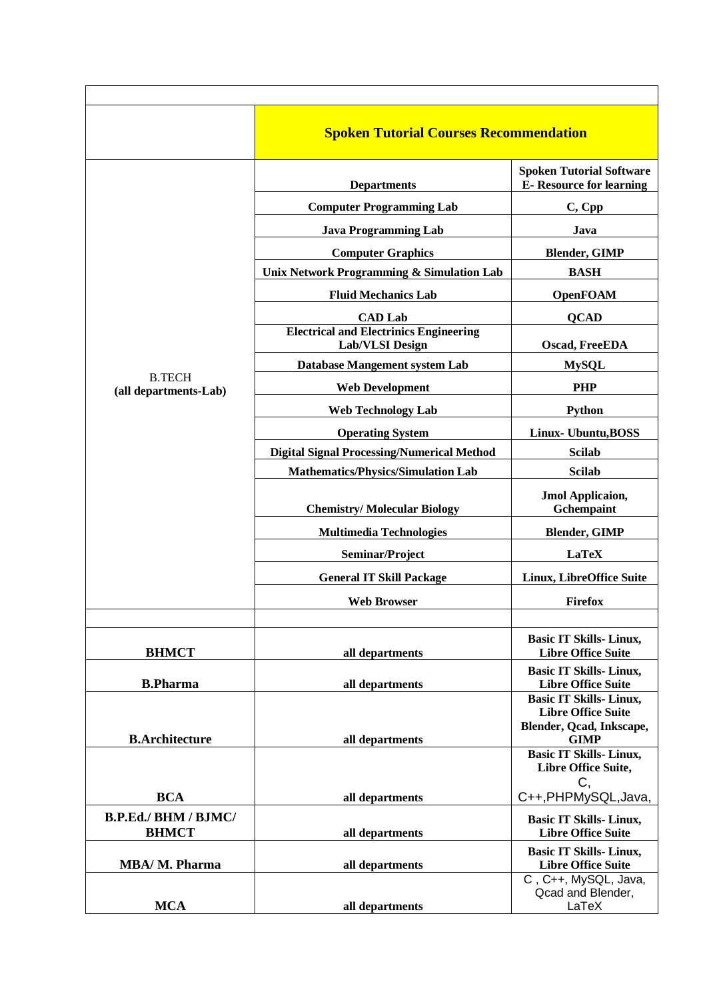|                                        | <b>Spoken Tutorial Courses Recommendation</b>                           |                                                                    |
|----------------------------------------|-------------------------------------------------------------------------|--------------------------------------------------------------------|
| <b>B.TECH</b><br>(all departments-Lab) | <b>Departments</b>                                                      | <b>Spoken Tutorial Software</b><br><b>E-</b> Resource for learning |
|                                        | <b>Computer Programming Lab</b>                                         | C, Cpp                                                             |
|                                        | <b>Java Programming Lab</b>                                             | Java                                                               |
|                                        | <b>Computer Graphics</b>                                                | <b>Blender, GIMP</b>                                               |
|                                        | Unix Network Programming & Simulation Lab                               | <b>BASH</b>                                                        |
|                                        | <b>Fluid Mechanics Lab</b>                                              | <b>OpenFOAM</b>                                                    |
|                                        | <b>CAD Lab</b>                                                          | <b>QCAD</b>                                                        |
|                                        | <b>Electrical and Electrinics Engineering</b><br><b>Lab/VLSI Design</b> | Oscad, FreeEDA                                                     |
|                                        | <b>Database Mangement system Lab</b>                                    | <b>MySQL</b>                                                       |
|                                        | <b>Web Development</b>                                                  | <b>PHP</b>                                                         |
|                                        | <b>Web Technology Lab</b>                                               | Python                                                             |
|                                        | <b>Operating System</b>                                                 | <b>Linux- Ubuntu, BOSS</b>                                         |
|                                        | <b>Digital Signal Processing/Numerical Method</b>                       | <b>Scilab</b>                                                      |
|                                        | <b>Mathematics/Physics/Simulation Lab</b>                               | <b>Scilab</b>                                                      |
|                                        | <b>Chemistry/Molecular Biology</b>                                      | Jmol Applicaion,<br>Gchempaint                                     |
|                                        | <b>Multimedia Technologies</b>                                          | <b>Blender, GIMP</b>                                               |
|                                        | Seminar/Project                                                         | <b>LaTeX</b>                                                       |
|                                        | <b>General IT Skill Package</b>                                         | Linux, LibreOffice Suite                                           |
|                                        | <b>Web Browser</b>                                                      | <b>Firefox</b>                                                     |
|                                        |                                                                         |                                                                    |
| <b>BHMCT</b>                           | all departments                                                         | <b>Basic IT Skills-Linux,</b><br><b>Libre Office Suite</b>         |
| <b>B.Pharma</b>                        |                                                                         | <b>Basic IT Skills-Linux,</b>                                      |
|                                        | all departments                                                         | <b>Libre Office Suite</b><br><b>Basic IT Skills-Linux,</b>         |
|                                        |                                                                         | <b>Libre Office Suite</b><br>Blender, Qcad, Inkscape,              |
| <b>B.Architecture</b>                  | all departments                                                         | <b>GIMP</b><br><b>Basic IT Skills- Linux,</b>                      |
|                                        |                                                                         | Libre Office Suite,<br>C,                                          |
| <b>BCA</b>                             | all departments                                                         | C++, PHPMySQL, Java,                                               |
| B.P.Ed./ BHM / BJMC/<br><b>BHMCT</b>   | all departments                                                         | <b>Basic IT Skills-Linux,</b><br><b>Libre Office Suite</b>         |
|                                        |                                                                         | <b>Basic IT Skills-Linux,</b>                                      |
| <b>MBA/M. Pharma</b>                   | all departments                                                         | <b>Libre Office Suite</b><br>C, C++, MySQL, Java,                  |
|                                        |                                                                         | Qcad and Blender,                                                  |
| <b>MCA</b>                             | all departments                                                         | LaTeX                                                              |